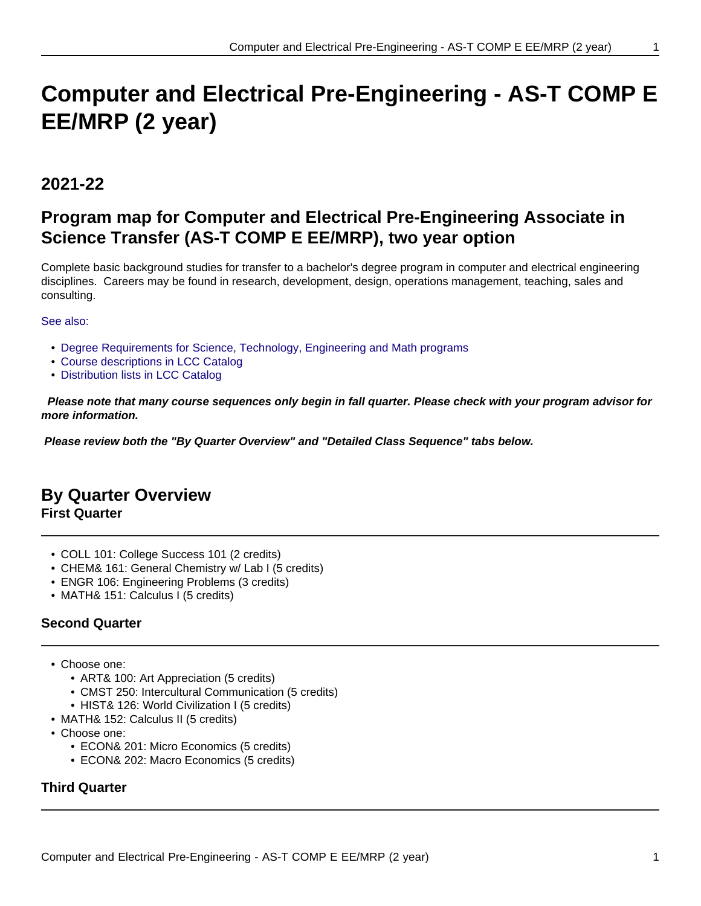# **Computer and Electrical Pre-Engineering - AS-T COMP E EE/MRP (2 year)**

## **2021-22**

## **Program map for Computer and Electrical Pre-Engineering Associate in Science Transfer (AS-T COMP E EE/MRP), two year option**

Complete basic background studies for transfer to a bachelor's degree program in computer and electrical engineering disciplines. Careers may be found in research, development, design, operations management, teaching, sales and consulting.

#### See also:

- Degree Requirements for Science, Technology, Engineering and Math programs
- Course descriptions in LCC Catalog
- Distribution lists in LCC Catalog

 **Please note that many course sequences only begin in fall quarter. Please check with your program advisor for more information.**

**Please review both the "By Quarter Overview" and "Detailed Class Sequence" tabs below.**

## **By Quarter Overview**

**First Quarter**

- COLL 101: College Success 101 (2 credits)
- CHEM& 161: General Chemistry w/ Lab I (5 credits)
- ENGR 106: Engineering Problems (3 credits)
- MATH& 151: Calculus I (5 credits)

#### **Second Quarter**

• Choose one:

- ART& 100: Art Appreciation (5 credits)
- CMST 250: Intercultural Communication (5 credits)
- HIST& 126: World Civilization I (5 credits)
- MATH& 152: Calculus II (5 credits)
- Choose one:
	- ECON& 201: Micro Economics (5 credits)
	- ECON& 202: Macro Economics (5 credits)

### **Third Quarter**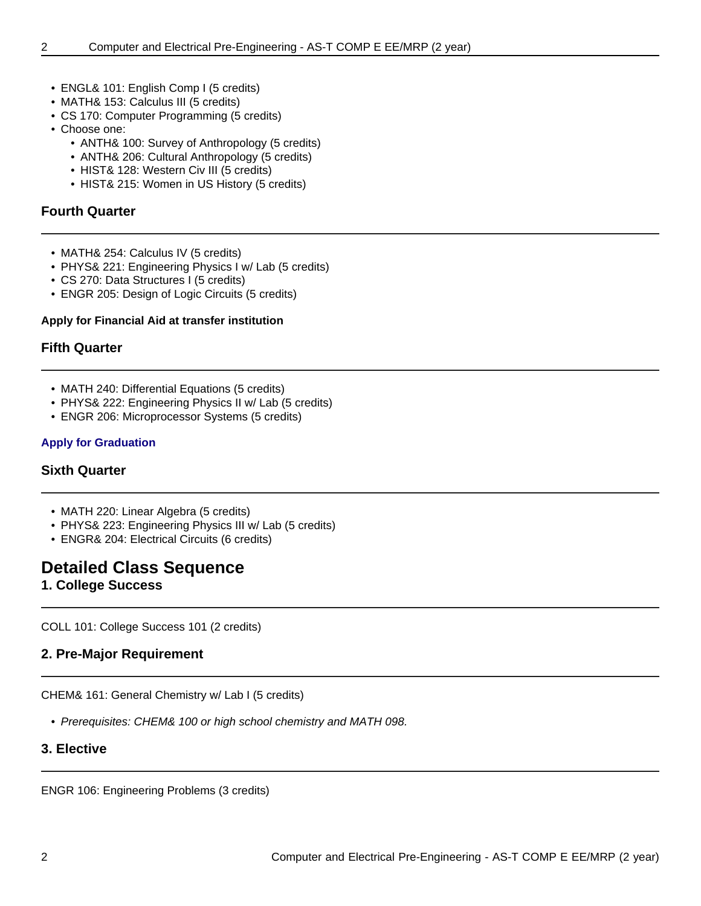- ENGL& 101: English Comp I (5 credits)
- MATH& 153: Calculus III (5 credits)
- CS 170: Computer Programming (5 credits)
- Choose one:
	- ANTH& 100: Survey of Anthropology (5 credits)
	- ANTH& 206: Cultural Anthropology (5 credits)
	- HIST& 128: Western Civ III (5 credits)
	- HIST& 215: Women in US History (5 credits)

#### **Fourth Quarter**

- MATH& 254: Calculus IV (5 credits)
- PHYS& 221: Engineering Physics I w/ Lab (5 credits)
- CS 270: Data Structures I (5 credits)
- ENGR 205: Design of Logic Circuits (5 credits)

#### **Apply for Financial Aid at transfer institution**

#### **Fifth Quarter**

- MATH 240: Differential Equations (5 credits)
- PHYS& 222: Engineering Physics II w/ Lab (5 credits)
- ENGR 206: Microprocessor Systems (5 credits)

#### **Apply for Graduation**

#### **Sixth Quarter**

- MATH 220: Linear Algebra (5 credits)
- PHYS& 223: Engineering Physics III w/ Lab (5 credits)
- ENGR& 204: Electrical Circuits (6 credits)

### **Detailed Class Sequence**

#### **1. College Success**

COLL 101: College Success 101 (2 credits)

#### **2. Pre-Major Requirement**

CHEM& 161: General Chemistry w/ Lab I (5 credits)

• Prerequisites: CHEM& 100 or high school chemistry and MATH 098.

#### **3. Elective**

ENGR 106: Engineering Problems (3 credits)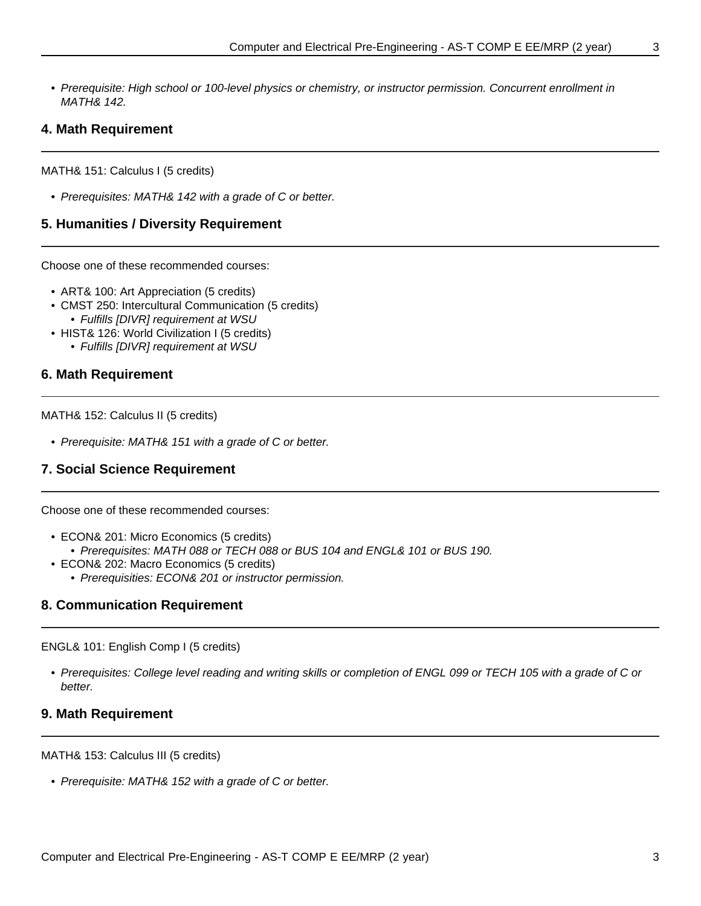• Prerequisite: High school or 100-level physics or chemistry, or instructor permission. Concurrent enrollment in MATH& 142.

#### **4. Math Requirement**

MATH& 151: Calculus I (5 credits)

• Prerequisites: MATH& 142 with a grade of C or better.

#### **5. Humanities / Diversity Requirement**

Choose one of these recommended courses:

- ART& 100: Art Appreciation (5 credits)
- CMST 250: Intercultural Communication (5 credits) • Fulfills [DIVR] requirement at WSU
- HIST& 126: World Civilization I (5 credits)
	- Fulfills [DIVR] requirement at WSU

#### **6. Math Requirement**

MATH& 152: Calculus II (5 credits)

• Prerequisite: MATH& 151 with a grade of C or better.

#### **7. Social Science Requirement**

Choose one of these recommended courses:

- ECON& 201: Micro Economics (5 credits)
	- Prerequisites: MATH 088 or TECH 088 or BUS 104 and ENGL& 101 or BUS 190.
- ECON& 202: Macro Economics (5 credits)
	- Prerequisities: ECON& 201 or instructor permission.

#### **8. Communication Requirement**

ENGL& 101: English Comp I (5 credits)

• Prerequisites: College level reading and writing skills or completion of ENGL 099 or TECH 105 with a grade of C or better.

#### **9. Math Requirement**

MATH& 153: Calculus III (5 credits)

• Prerequisite: MATH& 152 with a grade of C or better.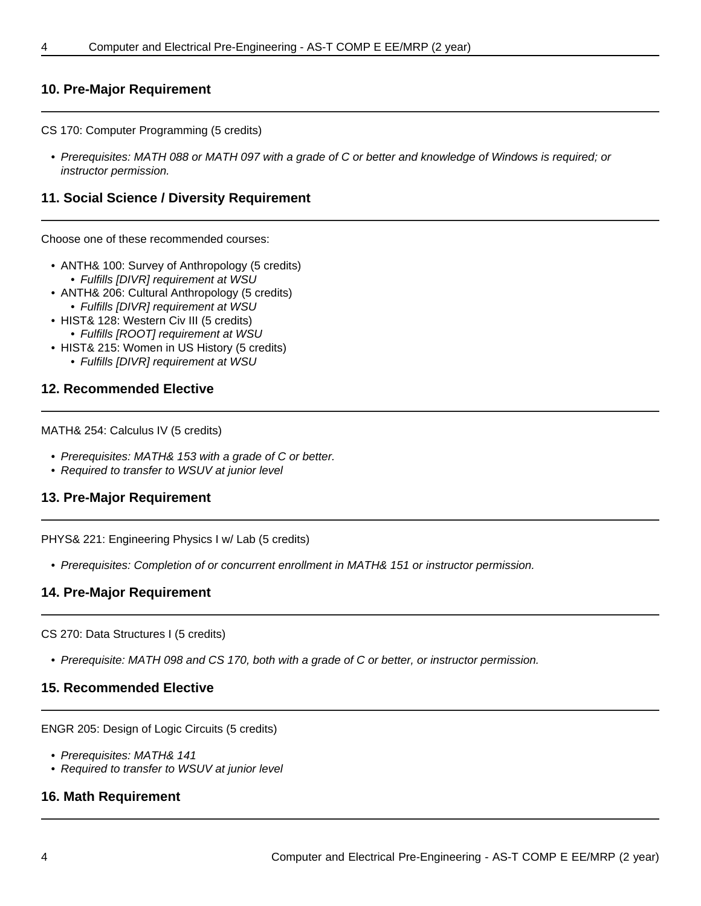#### **10. Pre-Major Requirement**

CS 170: Computer Programming (5 credits)

• Prerequisites: MATH 088 or MATH 097 with a grade of C or better and knowledge of Windows is required; or instructor permission.

#### **11. Social Science / Diversity Requirement**

Choose one of these recommended courses:

- ANTH& 100: Survey of Anthropology (5 credits) • Fulfills [DIVR] requirement at WSU
- ANTH& 206: Cultural Anthropology (5 credits)
	- Fulfills [DIVR] requirement at WSU
- HIST& 128: Western Civ III (5 credits)
- Fulfills [ROOT] requirement at WSU
- HIST& 215: Women in US History (5 credits)
	- Fulfills [DIVR] requirement at WSU

#### **12. Recommended Elective**

MATH& 254: Calculus IV (5 credits)

- Prerequisites: MATH& 153 with a grade of C or better.
- Required to transfer to WSUV at junior level

#### **13. Pre-Major Requirement**

PHYS& 221: Engineering Physics I w/ Lab (5 credits)

• Prerequisites: Completion of or concurrent enrollment in MATH& 151 or instructor permission.

#### **14. Pre-Major Requirement**

CS 270: Data Structures I (5 credits)

• Prerequisite: MATH 098 and CS 170, both with a grade of C or better, or instructor permission.

#### **15. Recommended Elective**

ENGR 205: Design of Logic Circuits (5 credits)

- Prerequisites: MATH& 141
- Required to transfer to WSUV at junior level

#### **16. Math Requirement**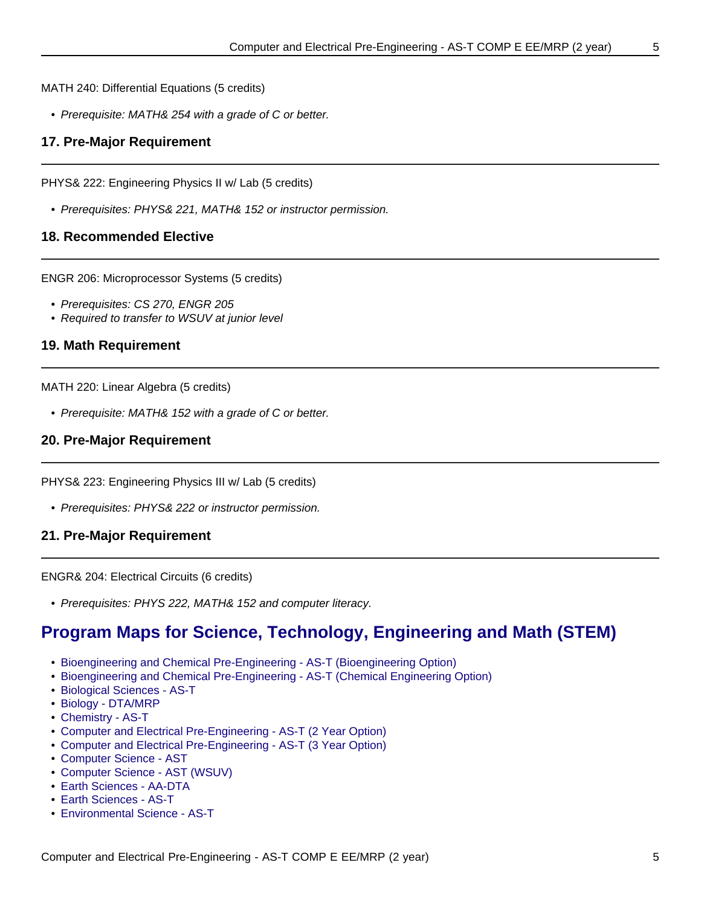MATH 240: Differential Equations (5 credits)

• Prerequisite: MATH& 254 with a grade of C or better.

#### **17. Pre-Major Requirement**

PHYS& 222: Engineering Physics II w/ Lab (5 credits)

• Prerequisites: PHYS& 221, MATH& 152 or instructor permission.

#### **18. Recommended Elective**

ENGR 206: Microprocessor Systems (5 credits)

- Prerequisites: CS 270, ENGR 205
- Required to transfer to WSUV at junior level

#### **19. Math Requirement**

MATH 220: Linear Algebra (5 credits)

• Prerequisite: MATH& 152 with a grade of C or better.

#### **20. Pre-Major Requirement**

PHYS& 223: Engineering Physics III w/ Lab (5 credits)

• Prerequisites: PHYS& 222 or instructor permission.

#### **21. Pre-Major Requirement**

ENGR& 204: Electrical Circuits (6 credits)

• Prerequisites: PHYS 222, MATH& 152 and computer literacy.

### **Program Maps for Science, Technology, Engineering and Math (STEM)**

- Bioengineering and Chemical Pre-Engineering AS-T (Bioengineering Option)
- Bioengineering and Chemical Pre-Engineering AS-T (Chemical Engineering Option)
- Biological Sciences AS-T
- Biology DTA/MRP
- Chemistry AS-T
- Computer and Electrical Pre-Engineering AS-T (2 Year Option)
- Computer and Electrical Pre-Engineering AS-T (3 Year Option)
- Computer Science AST
- Computer Science AST (WSUV)
- Earth Sciences AA-DTA
- Earth Sciences AS-T
- Environmental Science AS-T